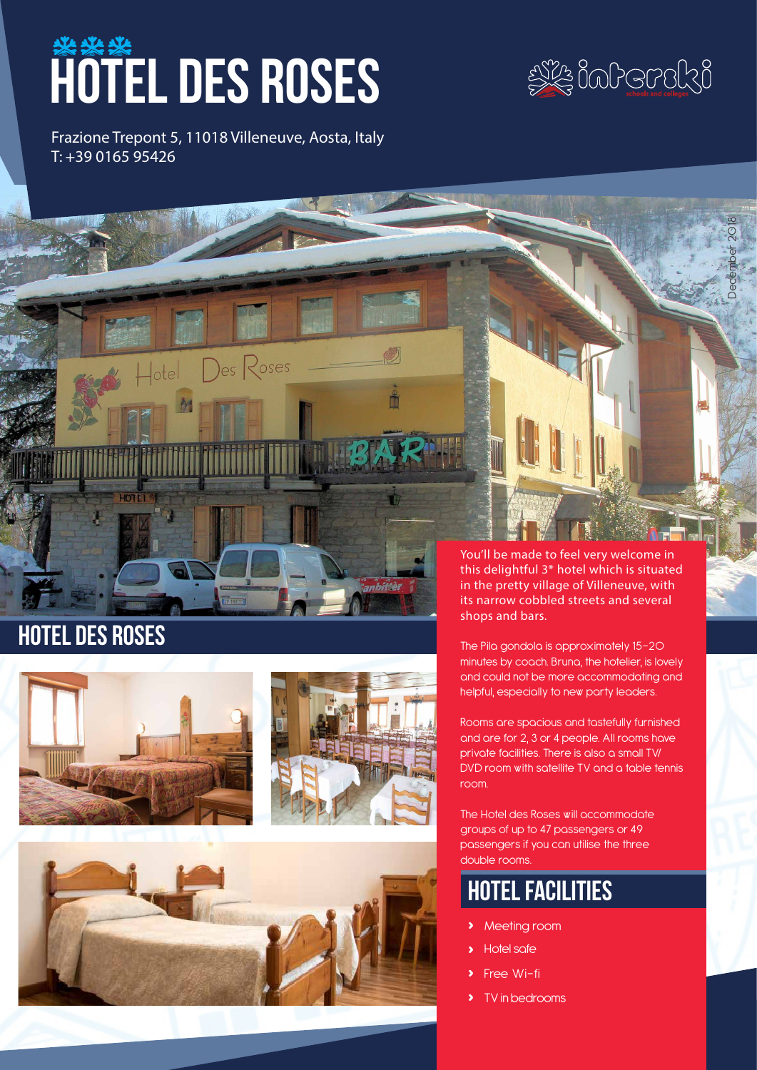# **HOTEL DES ROSES**

Frazione Trepont 5, 11018 Villeneuve, Aosta, Italy T: +39 0165 95426



December 2018



Des Roses

Ŏ

# hotel des roses





You'll be made to feel very welcome in this delightful 3\* hotel which is situated in the pretty village of Villeneuve, with its narrow cobbled streets and several shops and bars.

The Pila gondola is approximately 15-20 minutes by coach. Bruna, the hotelier, is lovely and could not be more accommodating and helpful, especially to new party leaders.

Rooms are spacious and tastefully furnished and are for 2, 3 or 4 people. All rooms have private facilities. There is also a small TV/ DVD room with satellite TV and a table tennis room.

The Hotel des Roses will accommodate groups of up to 47 passengers or 49 passengers if you can utilise the three double rooms.

# hotel facilities

- **›** Meeting room
- **›** Hotel safe
- **Free Wi-fi**
- **›** TV in bedrooms